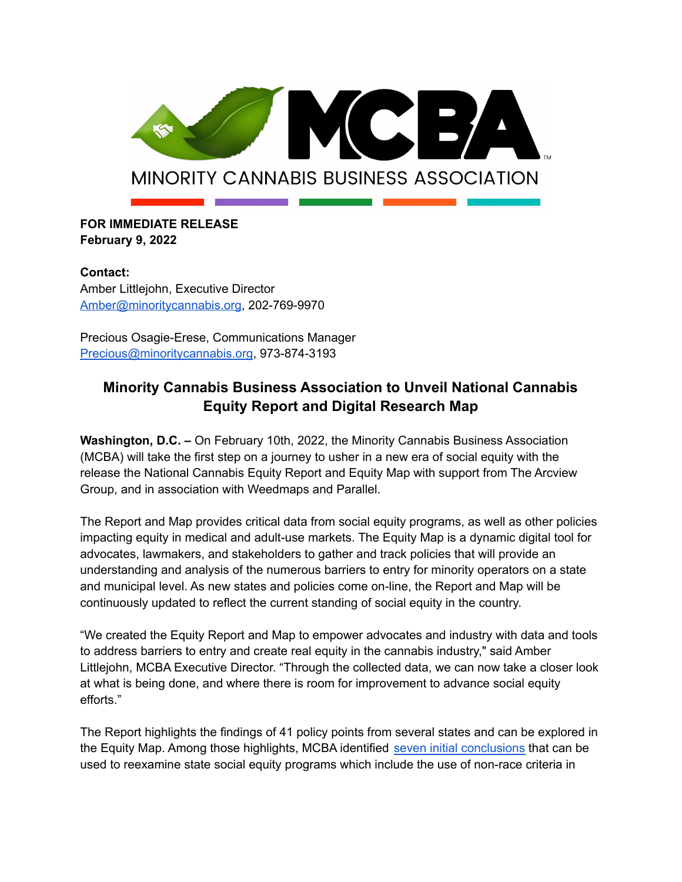

## **FOR IMMEDIATE RELEASE February 9, 2022**

**Contact:** Amber Littlejohn, Executive Director [Amber@minoritycannabis.org,](mailto:Amber@minoritycannabis.org) 202-769-9970

Precious Osagie-Erese, Communications Manager [Precious@minoritycannabis.org](mailto:Precious@minoritycannabis.org), 973-874-3193

# **Minority Cannabis Business Association to Unveil National Cannabis Equity Report and Digital Research Map**

**Washington, D.C. –** On February 10th, 2022, the Minority Cannabis Business Association (MCBA) will take the first step on a journey to usher in a new era of social equity with the release the National Cannabis Equity Report and Equity Map with support from The Arcview Group, and in association with Weedmaps and Parallel.

The Report and Map provides critical data from social equity programs, as well as other policies impacting equity in medical and adult-use markets. The Equity Map is a dynamic digital tool for advocates, lawmakers, and stakeholders to gather and track policies that will provide an understanding and analysis of the numerous barriers to entry for minority operators on a state and municipal level. As new states and policies come on-line, the Report and Map will be continuously updated to reflect the current standing of social equity in the country.

"We created the Equity Report and Map to empower advocates and industry with data and tools to address barriers to entry and create real equity in the cannabis industry," said Amber Littlejohn, MCBA Executive Director. "Through the collected data, we can now take a closer look at what is being done, and where there is room for improvement to advance social equity efforts."

The Report highlights the findings of 41 policy points from several states and can be explored in the Equity Map. Among those highlights, MCBA identified seven initial [conclusions](https://minoritycannabis.org/social-equity-2-0-minority-cannabis-business-association-to-unveil-national-cannabis-equity-report-and-digital-research-map/) that can be used to reexamine state social equity programs which include the use of non-race criteria in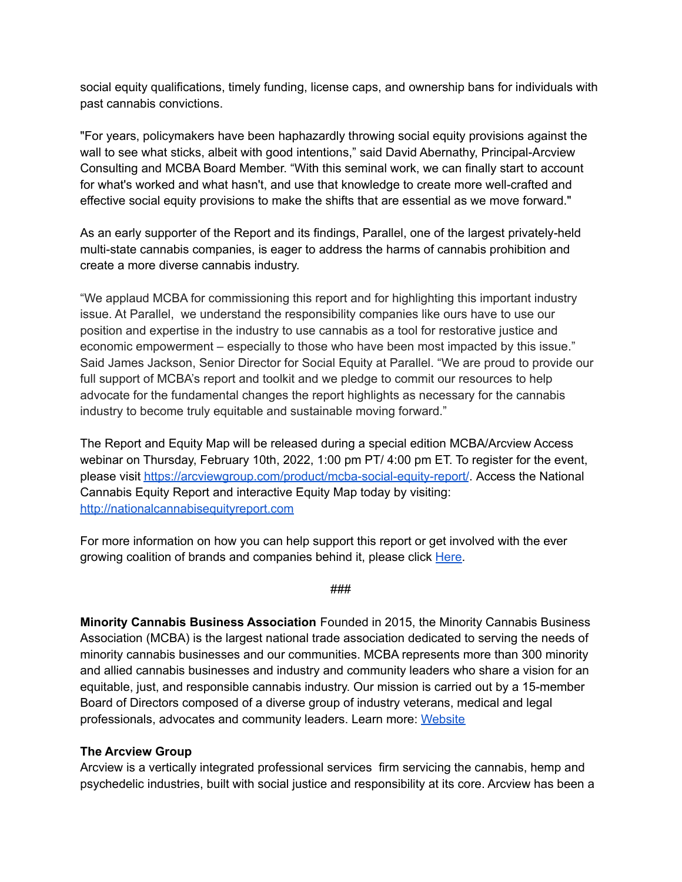social equity qualifications, timely funding, license caps, and ownership bans for individuals with past cannabis convictions.

"For years, policymakers have been haphazardly throwing social equity provisions against the wall to see what sticks, albeit with good intentions," said David Abernathy, Principal-Arcview Consulting and MCBA Board Member. "With this seminal work, we can finally start to account for what's worked and what hasn't, and use that knowledge to create more well-crafted and effective social equity provisions to make the shifts that are essential as we move forward."

As an early supporter of the Report and its findings, Parallel, one of the largest privately-held multi-state cannabis companies, is eager to address the harms of cannabis prohibition and create a more diverse cannabis industry.

"We applaud MCBA for commissioning this report and for highlighting this important industry issue. At Parallel, we understand the responsibility companies like ours have to use our position and expertise in the industry to use cannabis as a tool for restorative justice and economic empowerment – especially to those who have been most impacted by this issue." Said James Jackson, Senior Director for Social Equity at Parallel. "We are proud to provide our full support of MCBA's report and toolkit and we pledge to commit our resources to help advocate for the fundamental changes the report highlights as necessary for the cannabis industry to become truly equitable and sustainable moving forward."

The Report and Equity Map will be released during a special edition MCBA/Arcview Access webinar on Thursday, February 10th, 2022, 1:00 pm PT/ 4:00 pm ET. To register for the event, please visit <https://arcviewgroup.com/product/mcba-social-equity-report/>. Access the National Cannabis Equity Report and interactive Equity Map today by visiting: <http://nationalcannabisequityreport.com>

For more information on how you can help support this report or get involved with the ever growing coalition of brands and companies behind it, please click [Here.](https://forms.gle/QnodN8oLk68iv7so7)

#### ###

**Minority Cannabis Business Association** Founded in 2015, the Minority Cannabis Business Association (MCBA) is the largest national trade association dedicated to serving the needs of minority cannabis businesses and our communities. MCBA represents more than 300 minority and allied cannabis businesses and industry and community leaders who share a vision for an equitable, just, and responsible cannabis industry. Our mission is carried out by a 15-member Board of Directors composed of a diverse group of industry veterans, medical and legal professionals, advocates and community leaders. Learn more: [Website](https://minoritycannabis.org/)

#### **The Arcview Group**

Arcview is a vertically integrated professional services firm servicing the cannabis, hemp and psychedelic industries, built with social justice and responsibility at its core. Arcview has been a